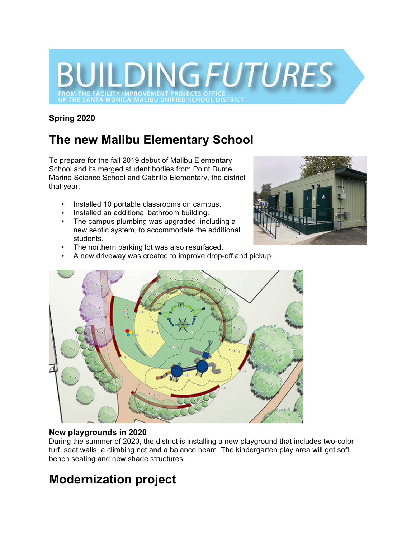

### **Spring 2020**

# **The new Malibu Elementary School**

To prepare for the fall 2019 debut of Malibu Elementary School and its merged student bodies from Point Dume Marine Science School and Cabrillo Elementary, the district that year:

- Installed 10 portable classrooms on campus.
- Installed an additional bathroom building.
- The campus plumbing was upgraded, including a new septic system, to accommodate the additional students.
- The northern parking lot was also resurfaced.
- A new driveway was created to improve drop-off and pickup.





#### **New playgrounds in 2020**

During the summer of 2020, the district is installing a new playground that includes two-color turf, seat walls, a climbing net and a balance beam. The kindergarten play area will get soft bench seating and new shade structures.

## **Modernization project**